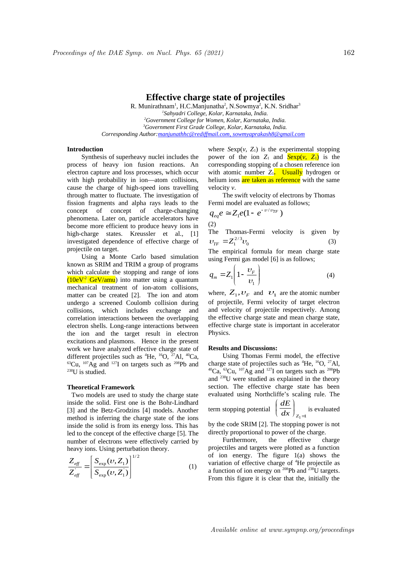# **Effective charge state of projectiles**

R. Munirathnam<sup>1</sup>, H.C.Manjunatha<sup>2</sup>, N.Sowmya<sup>2</sup>, K.N. Sridhar<sup>3</sup> *1 Sahyadri College, Kolar, Karnataka, India. <sup>2</sup>Government College for Women, Kolar, Karnataka, India. <sup>3</sup>Government First Grade College, Kolar, Karnataka, India. Corresponding Author: manjunathhc@rediffmail.com , sowmyaprakash8@gmail.com*

### **Introduction**

Synthesis of superheavy nuclei includes the process of heavy ion fusion reactions. An electron capture and loss processes, which occur with high probability in ion—atom collisions, cause the charge of high-speed ions travelling through matter to fluctuate. The investigation of fission fragments and alpha rays leads to the concept of concept of charge-changing phenomena. Later on, particle accelerators have become more efficient to produce heavy ions in high-charge states. Kreussler et al., [1] investigated dependence of effective charge of projectile on target.

Using a Monte Carlo based simulation known as SRIM and TRIM a group of programs which calculate the stopping and range of ions  $(10eV<sup>-2</sup> GeV/amu)$  into matter using a quantum mechanical treatment of ion-atom collisions, matter can be created [2]. The ion and atom undergo a screened Coulomb collision during collisions, which includes exchange and correlation interactions between the overlapping electron shells. Long-range interactions between the ion and the target result in electron excitations and plasmons. Hence in the present work we have analyzed effective charge state of different projectiles such as  ${}^{4}$ He,  ${}^{16}$ O,  ${}^{27}$ Al,  ${}^{40}$ Ca,  ${}^{63}$ Cu,  ${}^{107}$ Ag and  ${}^{127}$ I on targets such as  ${}^{208}$ Pb and <sup>238</sup>U is studied.

#### **Theoretical Framework**

 Two models are used to study the charge state inside the solid. First one is the Bohr-Lindhard [3] and the Betz-Grodzins [4] models. Another method is inferring the charge state of the ions inside the solid is from its energy loss. This has led to the concept of the effective charge [5]. The number of electrons were effectively carried by heavy ions. Using perturbation theory.

$$
\frac{Z_{\text{eff}}}{Z_{\text{eff}}} = \left[ \frac{S_{\text{exp}}(\nu, Z_1)}{S_{\text{exp}}(\nu, Z_1)} \right]^{1/2} \tag{1}
$$

where  $Sexp(v, Z_1)$  is the experimental stopping power of the ion  $Z_1$  and  $\frac{\text{Sexp}(v, Z_1)}{\text{S}}$  is the corresponding stopping of a chosen reference ion with atomic number  $Z_1$ . Usually hydrogen or helium ions are taken as reference with the same velocity *v*.

The swift velocity of electrons by Thomas Fermi model are evaluated as follows;

$$
q_{eq}e \cong Z_1e(1 - e^{-\upsilon/\upsilon_{TF}})
$$
\n(2)

The Thomas-Fermi velocity is given by  $v_{\text{TF}} = Z_1^{2/3} v_0$  (3)

The empirical formula for mean charge state using Fermi gas model [6] is as follows;

$$
q_m = Z_1 \left( 1 - \frac{\upsilon_F}{\upsilon_1} \right) \tag{4}
$$

where,  $Z_1, \nu_F$  and  $\upsilon_1$  are the atomic number of projectile, Fermi velocity of target electron and velocity of projectile respectively. Among the effective charge state and mean charge state, effective charge state is important in accelerator Physics.

#### **Results and Discussions:**

Using Thomas Fermi model, the effective charge state of projectiles such as  ${}^{4}$ He,  ${}^{16}$ O,  ${}^{27}$ Al,  ${}^{40}Ca$ ,  ${}^{63}Cu$ ,  ${}^{107}Ag$  and  ${}^{127}I$  on targets such as  ${}^{208}Pb$ and <sup>238</sup>U were studied as explained in the theory section. The effective charge state has been evaluated using Northcliffe's scaling rule. The

term stopping potential 
$$
\left(\frac{dE}{dx}\right)_{Z_1=1}
$$
 is evaluated

by the code SRIM [2]. The stopping power is not directly proportional to power of the charge.

Furthermore, the effective charge projectiles and targets were plotted as a function of ion energy. The figure 1(a) shows the variation of effective charge of <sup>4</sup>He projectile as a function of ion energy on  $^{208}Pb$  and  $^{238}U$  targets. From this figure it is clear that the, initially the